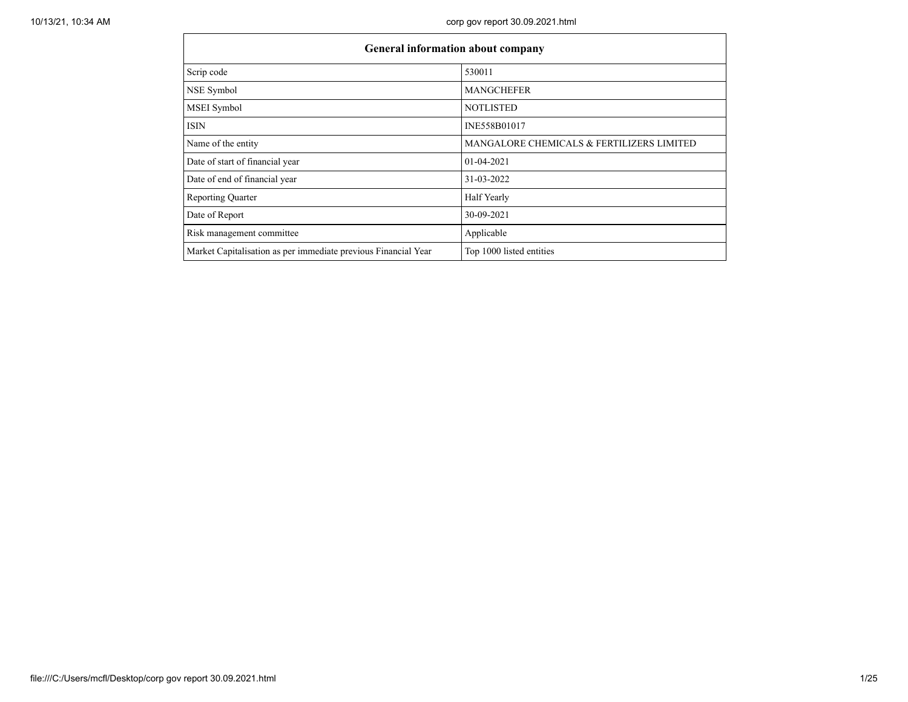| <b>General information about company</b>                       |                                           |
|----------------------------------------------------------------|-------------------------------------------|
| Scrip code                                                     | 530011                                    |
| NSE Symbol                                                     | <b>MANGCHEFER</b>                         |
| MSEI Symbol                                                    | <b>NOTLISTED</b>                          |
| <b>ISIN</b>                                                    | INE558B01017                              |
| Name of the entity                                             | MANGALORE CHEMICALS & FERTILIZERS LIMITED |
| Date of start of financial year                                | 01-04-2021                                |
| Date of end of financial year                                  | 31-03-2022                                |
| <b>Reporting Quarter</b>                                       | Half Yearly                               |
| Date of Report                                                 | 30-09-2021                                |
| Risk management committee                                      | Applicable                                |
| Market Capitalisation as per immediate previous Financial Year | Top 1000 listed entities                  |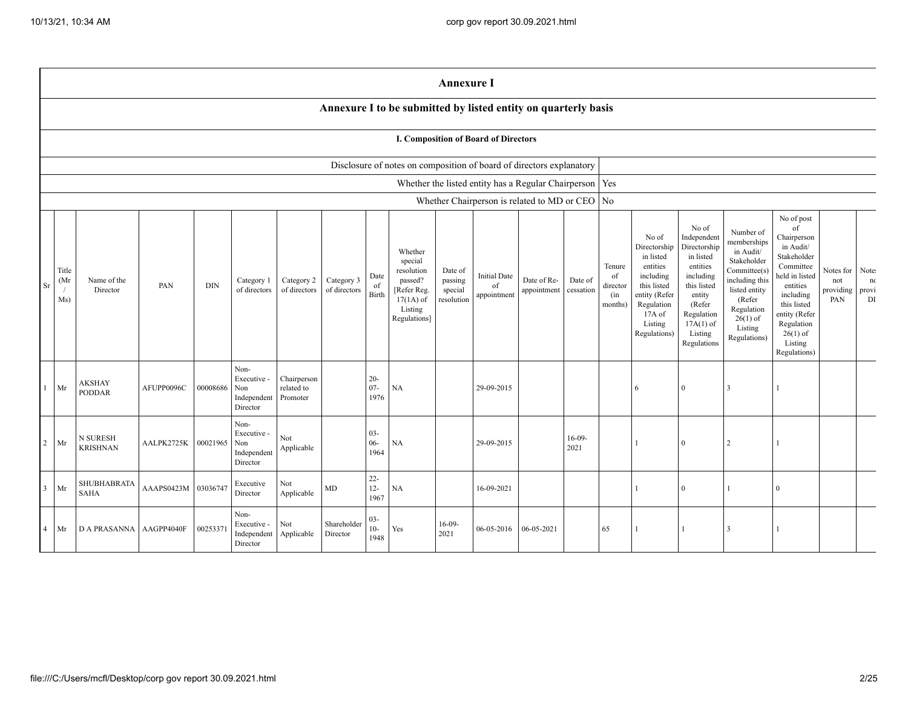|                                                                                                                                                                                                                                                                                                                                                                                                                                                                                                                                                                                                                                                                                                                                                                                                                                          |        |                                                                      |            |          |                                                       |                                                                                                                                                                          |                                                                                                                                                                                                            |                                      |                            | <b>Annexure I</b> |                                                     |            |                  |                |   |              |                |              |  |  |
|------------------------------------------------------------------------------------------------------------------------------------------------------------------------------------------------------------------------------------------------------------------------------------------------------------------------------------------------------------------------------------------------------------------------------------------------------------------------------------------------------------------------------------------------------------------------------------------------------------------------------------------------------------------------------------------------------------------------------------------------------------------------------------------------------------------------------------------|--------|----------------------------------------------------------------------|------------|----------|-------------------------------------------------------|--------------------------------------------------------------------------------------------------------------------------------------------------------------------------|------------------------------------------------------------------------------------------------------------------------------------------------------------------------------------------------------------|--------------------------------------|----------------------------|-------------------|-----------------------------------------------------|------------|------------------|----------------|---|--------------|----------------|--------------|--|--|
|                                                                                                                                                                                                                                                                                                                                                                                                                                                                                                                                                                                                                                                                                                                                                                                                                                          |        | Annexure I to be submitted by listed entity on quarterly basis       |            |          |                                                       |                                                                                                                                                                          |                                                                                                                                                                                                            |                                      |                            |                   |                                                     |            |                  |                |   |              |                |              |  |  |
|                                                                                                                                                                                                                                                                                                                                                                                                                                                                                                                                                                                                                                                                                                                                                                                                                                          |        | I. Composition of Board of Directors                                 |            |          |                                                       |                                                                                                                                                                          |                                                                                                                                                                                                            |                                      |                            |                   |                                                     |            |                  |                |   |              |                |              |  |  |
|                                                                                                                                                                                                                                                                                                                                                                                                                                                                                                                                                                                                                                                                                                                                                                                                                                          |        | Disclosure of notes on composition of board of directors explanatory |            |          |                                                       |                                                                                                                                                                          |                                                                                                                                                                                                            |                                      |                            |                   |                                                     |            |                  |                |   |              |                |              |  |  |
|                                                                                                                                                                                                                                                                                                                                                                                                                                                                                                                                                                                                                                                                                                                                                                                                                                          |        |                                                                      |            |          |                                                       |                                                                                                                                                                          |                                                                                                                                                                                                            |                                      |                            |                   | Whether the listed entity has a Regular Chairperson |            |                  | Yes            |   |              |                |              |  |  |
|                                                                                                                                                                                                                                                                                                                                                                                                                                                                                                                                                                                                                                                                                                                                                                                                                                          |        |                                                                      |            |          |                                                       |                                                                                                                                                                          |                                                                                                                                                                                                            |                                      |                            |                   | Whether Chairperson is related to MD or CEO         |            |                  | N <sub>o</sub> |   |              |                |              |  |  |
| No of<br>Independent<br>No of<br>Directorship<br>Directorship<br>Whether<br>in listed<br>in listed<br>special<br>entities<br>Tenure<br>entities<br>Title<br>resolution<br>Date of<br><b>Initial Date</b><br>including<br>including<br>Date<br>of<br>(Mr)<br>Category 3<br>passed?<br>passing<br>Date of Re-<br>Date of<br>Name of the<br>Category 2<br>Category 1<br>PAN<br>DIN<br>this listed<br>Sr<br>this listed<br>of<br>of<br>director<br>of directors<br>of directors<br>$\overline{1}$<br>special<br>cessation<br>Director<br>of directors<br>Refer Reg.<br>appointment<br>Birth<br>appointment<br>entity (Refer<br>entity<br>(in<br>$17(1A)$ of<br>Ms)<br>resolution<br>Regulation<br>(Refer<br>months)<br>Listing<br>$17A$ of<br>Regulation<br>Regulations]<br>$17A(1)$ of<br>Listing<br>Regulations)<br>Listing<br>Regulations |        |                                                                      |            |          |                                                       | Number of<br>memberships<br>in Audit/<br>Stakeholder<br>Committee(s)<br>including this<br>listed entity<br>(Refer<br>Regulation<br>$26(1)$ of<br>Listing<br>Regulations) | No of post<br>of<br>Chairperson<br>in Audit/<br>Stakeholder<br>Committee<br>held in listed<br>entities<br>including<br>this listed<br>entity (Refer<br>Regulation<br>$26(1)$ of<br>Listing<br>Regulations) | Notes for<br>not<br>providing<br>PAN | Note:<br>nc<br>provi<br>DI |                   |                                                     |            |                  |                |   |              |                |              |  |  |
|                                                                                                                                                                                                                                                                                                                                                                                                                                                                                                                                                                                                                                                                                                                                                                                                                                          | Mr     | <b>AKSHAY</b><br><b>PODDAR</b>                                       | AFUPP0096C | 00008686 | Non-<br>Executive -<br>Non<br>Independent<br>Director | Chairperson<br>related to<br>Promoter                                                                                                                                    |                                                                                                                                                                                                            | $20 -$<br>$07 -$<br>1976             | NA                         |                   | 29-09-2015                                          |            |                  |                | 6 | $\mathbf{0}$ | 3              |              |  |  |
| 2 <sup>1</sup>                                                                                                                                                                                                                                                                                                                                                                                                                                                                                                                                                                                                                                                                                                                                                                                                                           | Mr     | N SURESH<br><b>KRISHNAN</b>                                          | AALPK2725K | 00021965 | Non-<br>Executive -<br>Non<br>Independent<br>Director | Not<br>Applicable                                                                                                                                                        |                                                                                                                                                                                                            | $03 -$<br>$06 -$<br>1964             | NA                         |                   | 29-09-2015                                          |            | $16-09-$<br>2021 |                |   | $\mathbf{0}$ | $\overline{2}$ |              |  |  |
|                                                                                                                                                                                                                                                                                                                                                                                                                                                                                                                                                                                                                                                                                                                                                                                                                                          | $3$ Mr | SHUBHABRATA<br><b>SAHA</b>                                           | AAAPS0423M | 03036747 | Executive<br>Director                                 | Not<br>Applicable                                                                                                                                                        | MD                                                                                                                                                                                                         | $22 -$<br>$12 -$<br>1967             | NA                         |                   | 16-09-2021                                          |            |                  |                |   | $\mathbf{0}$ |                | $\Omega$     |  |  |
| 4                                                                                                                                                                                                                                                                                                                                                                                                                                                                                                                                                                                                                                                                                                                                                                                                                                        | Mr     | <b>DA PRASANNA</b>                                                   | AAGPP4040F | 0025337  | Non-<br>Executive -<br>Independent<br>Director        | Not<br>Applicable                                                                                                                                                        | Shareholder<br>Director                                                                                                                                                                                    | $03 -$<br>$10-$<br>1948              | Yes                        | $16-09-$<br>2021  | 06-05-2016                                          | 06-05-2021 |                  | 65             |   | -1           | $\mathbf{3}$   | $\mathbf{1}$ |  |  |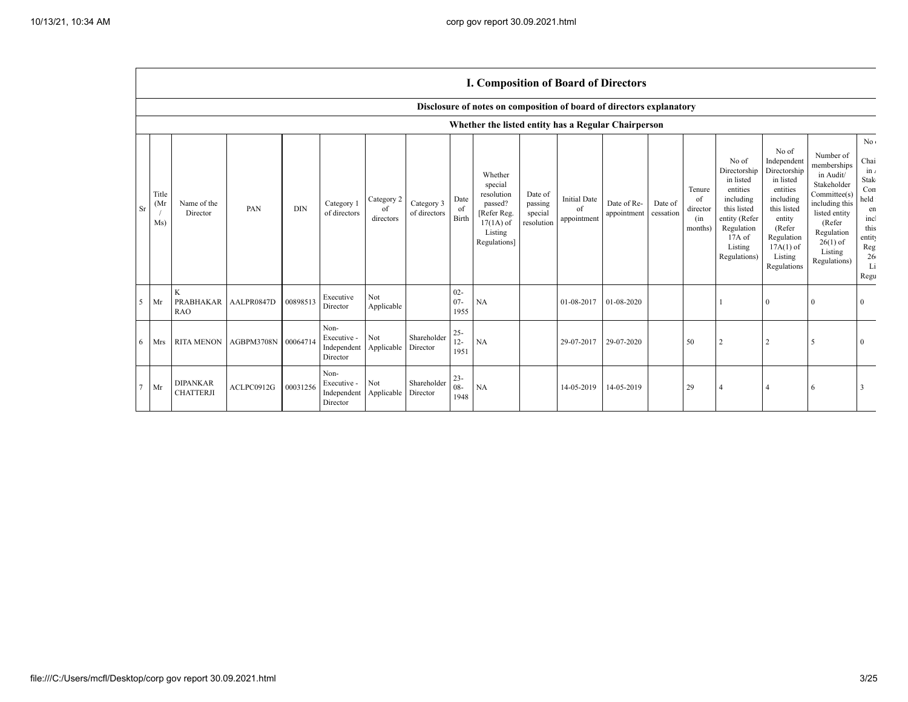|                |                      |                                     |            |            |                                                |                               |                            |                          | r. Composition of Doar a of Directors                                                                |                                             |                                          |                                      |         |                                            |                                                                                                                                                  |                                                                                                                                                                      |                                                                                                                                                                          |                                                                                                                             |
|----------------|----------------------|-------------------------------------|------------|------------|------------------------------------------------|-------------------------------|----------------------------|--------------------------|------------------------------------------------------------------------------------------------------|---------------------------------------------|------------------------------------------|--------------------------------------|---------|--------------------------------------------|--------------------------------------------------------------------------------------------------------------------------------------------------|----------------------------------------------------------------------------------------------------------------------------------------------------------------------|--------------------------------------------------------------------------------------------------------------------------------------------------------------------------|-----------------------------------------------------------------------------------------------------------------------------|
|                |                      |                                     |            |            |                                                |                               |                            |                          | Disclosure of notes on composition of board of directors explanatory                                 |                                             |                                          |                                      |         |                                            |                                                                                                                                                  |                                                                                                                                                                      |                                                                                                                                                                          |                                                                                                                             |
|                |                      |                                     |            |            |                                                |                               |                            |                          | Whether the listed entity has a Regular Chairperson                                                  |                                             |                                          |                                      |         |                                            |                                                                                                                                                  |                                                                                                                                                                      |                                                                                                                                                                          |                                                                                                                             |
| <b>Sr</b>      | Title<br>(Mr)<br>Ms) | Name of the<br>Director             | PAN        | <b>DIN</b> | Category 1<br>of directors                     | Category 2<br>of<br>directors | Category 3<br>of directors | Date<br>of<br>Birth      | Whether<br>special<br>resolution<br>passed?<br>[Refer Reg.<br>$17(1A)$ of<br>Listing<br>Regulations] | Date of<br>passing<br>special<br>resolution | <b>Initial Date</b><br>of<br>appointment | Date of Re-<br>appointment cessation | Date of | Tenure<br>of<br>director<br>(in<br>months) | No of<br>Directorship<br>in listed<br>entities<br>including<br>this listed<br>entity (Refer<br>Regulation<br>$17A$ of<br>Listing<br>Regulations) | No of<br>Independent<br>Directorship<br>in listed<br>entities<br>including<br>this listed<br>entity<br>(Refer<br>Regulation<br>$17A(1)$ of<br>Listing<br>Regulations | Number of<br>memberships<br>in Audit/<br>Stakeholder<br>Committee(s)<br>including this<br>listed entity<br>(Refer<br>Regulation<br>$26(1)$ of<br>Listing<br>Regulations) | No <sub>1</sub><br>Chai<br>$\ln t$<br><b>Stak</b><br>Con<br>held<br>en<br>incl<br>this<br>entity<br>Reg<br>26<br>Li<br>Regu |
| 5 <sup>1</sup> | Mr                   | K<br>PRABHAKAR<br><b>RAO</b>        | AALPR0847D | 00898513   | Executive<br>Director                          | Not<br>Applicable             |                            | $02 -$<br>$07 -$<br>1955 | NA                                                                                                   |                                             | 01-08-2017                               | 01-08-2020                           |         |                                            |                                                                                                                                                  | $\Omega$                                                                                                                                                             | $\Omega$                                                                                                                                                                 | $\Omega$                                                                                                                    |
| 6 <sup>1</sup> | Mrs                  | <b>RITA MENON</b>                   | AGBPM3708N | 0006471    | Non-<br>Executive -<br>Independent<br>Director | Not<br>Applicable             | Shareholder<br>Director    | $25 -$<br>$12 -$<br>1951 | NA                                                                                                   |                                             | 29-07-2017                               | 29-07-2020                           |         | 50                                         |                                                                                                                                                  | 2                                                                                                                                                                    | 5                                                                                                                                                                        | $\Omega$                                                                                                                    |
| $7$ Mr         |                      | <b>DIPANKAR</b><br><b>CHATTERJI</b> | ACLPC0912G | 00031256   | Non-<br>Executive -<br>Independent<br>Director | Not<br>Applicable             | Shareholder<br>Director    | $23 -$<br>$08 -$<br>1948 | NA                                                                                                   |                                             | 14-05-2019                               | 14-05-2019                           |         | 29                                         |                                                                                                                                                  |                                                                                                                                                                      | 6                                                                                                                                                                        |                                                                                                                             |

## **I. Composition of Board of Directors**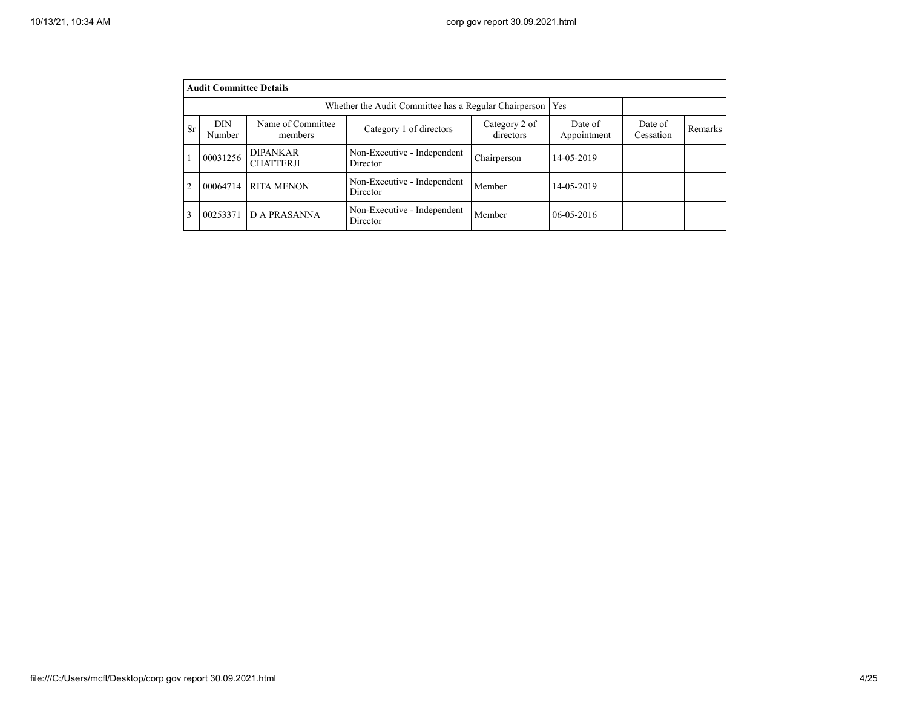|                | <b>Audit Committee Details</b>                                                                                                                                                           |                                     |                                         |             |                  |  |  |  |  |  |  |  |
|----------------|------------------------------------------------------------------------------------------------------------------------------------------------------------------------------------------|-------------------------------------|-----------------------------------------|-------------|------------------|--|--|--|--|--|--|--|
|                | Whether the Audit Committee has a Regular Chairperson<br><b>Yes</b>                                                                                                                      |                                     |                                         |             |                  |  |  |  |  |  |  |  |
| <b>Sr</b>      | Name of Committee<br><b>DIN</b><br>Category 2 of<br>Date of<br>Date of<br>Category 1 of directors<br><b>Remarks</b><br>directors<br>Cessation<br><b>Number</b><br>Appointment<br>members |                                     |                                         |             |                  |  |  |  |  |  |  |  |
|                | 00031256                                                                                                                                                                                 | <b>DIPANKAR</b><br><b>CHATTERJI</b> | Non-Executive - Independent<br>Director | Chairperson | 14-05-2019       |  |  |  |  |  |  |  |
| $\overline{2}$ | 00064714                                                                                                                                                                                 | <b>RITA MENON</b>                   | Non-Executive - Independent<br>Director | Member      | 14-05-2019       |  |  |  |  |  |  |  |
| 3              | 00253371                                                                                                                                                                                 | <b>DA PRASANNA</b>                  | Non-Executive - Independent<br>Director | Member      | $06 - 05 - 2016$ |  |  |  |  |  |  |  |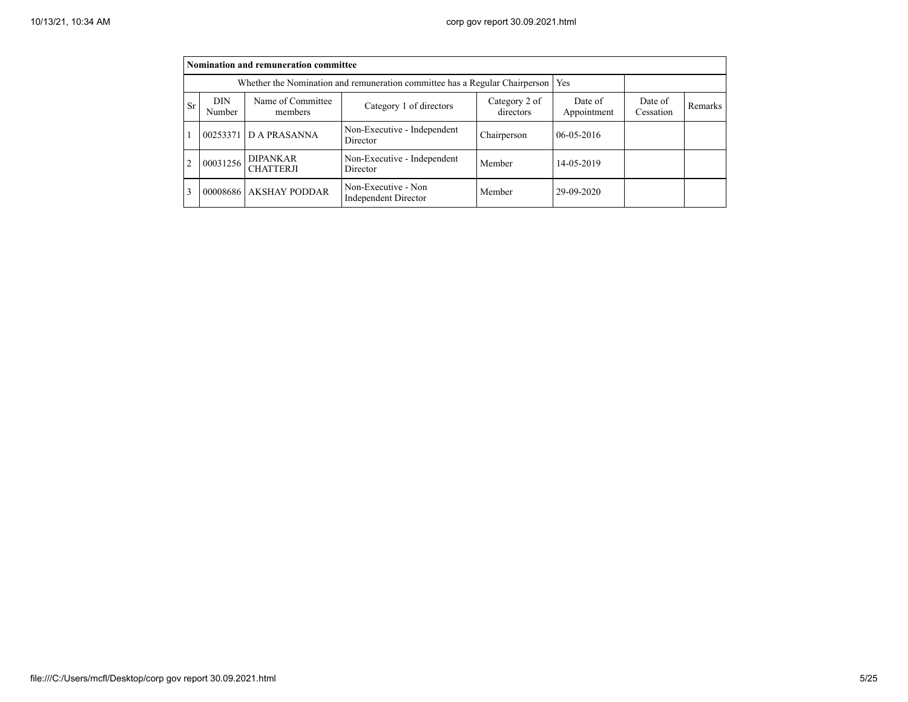|                | Nomination and remuneration committee                                       |                                     |                                                    |             |                  |  |  |  |  |  |  |
|----------------|-----------------------------------------------------------------------------|-------------------------------------|----------------------------------------------------|-------------|------------------|--|--|--|--|--|--|
|                | Whether the Nomination and remuneration committee has a Regular Chairperson |                                     |                                                    |             |                  |  |  |  |  |  |  |
| <b>Sr</b>      | <b>DIN</b><br>Number                                                        | Date of<br>Cessation                | Remarks                                            |             |                  |  |  |  |  |  |  |
|                | 00253371                                                                    | <b>DA PRASANNA</b>                  | Non-Executive - Independent<br>Director            | Chairperson | $06 - 05 - 2016$ |  |  |  |  |  |  |
| $\overline{2}$ | 00031256                                                                    | <b>DIPANKAR</b><br><b>CHATTERJI</b> | Non-Executive - Independent<br>Director            | Member      | 14-05-2019       |  |  |  |  |  |  |
| 3              |                                                                             | 00008686 AKSHAY PODDAR              | Non-Executive - Non<br><b>Independent Director</b> | Member      | 29-09-2020       |  |  |  |  |  |  |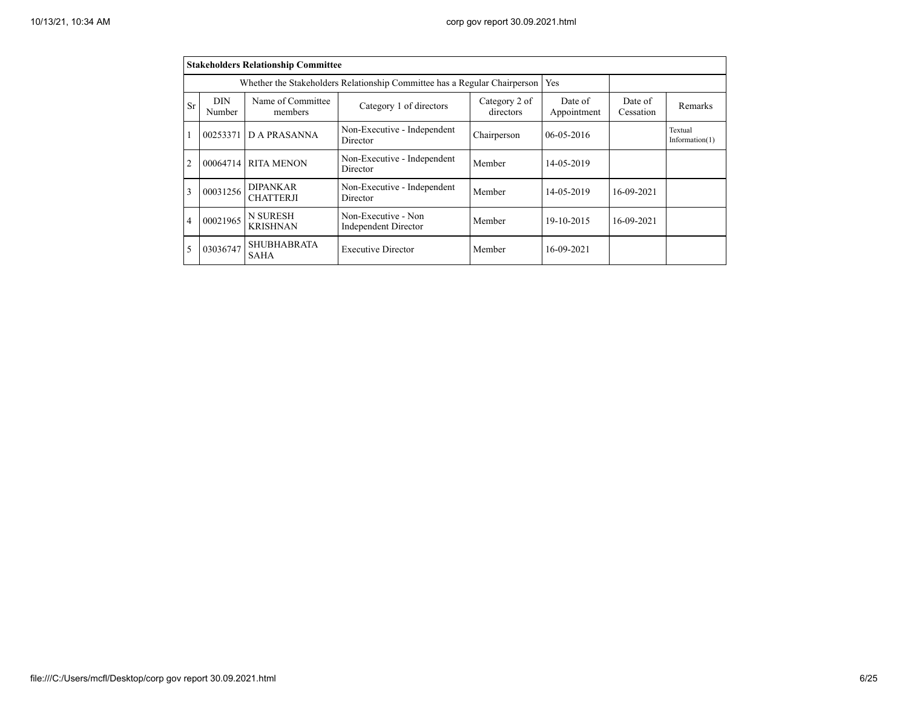|                                                                                                                 | <b>Stakeholders Relationship Committee</b>                                                                                              |                                     |                                         |                  |            |                              |         |  |  |  |  |  |
|-----------------------------------------------------------------------------------------------------------------|-----------------------------------------------------------------------------------------------------------------------------------------|-------------------------------------|-----------------------------------------|------------------|------------|------------------------------|---------|--|--|--|--|--|
|                                                                                                                 | Whether the Stakeholders Relationship Committee has a Regular Chairperson                                                               | Yes                                 |                                         |                  |            |                              |         |  |  |  |  |  |
| Sr                                                                                                              | Name of Committee<br><b>DIN</b><br>Category 2 of<br>Date of<br>Category 1 of directors<br>directors<br>Appointment<br>Number<br>members |                                     |                                         |                  |            |                              | Remarks |  |  |  |  |  |
|                                                                                                                 | Non-Executive - Independent<br>D A PRASANNA<br>00253371<br>Director                                                                     |                                     | Chairperson                             | $06 - 05 - 2016$ |            | Textual<br>Information $(1)$ |         |  |  |  |  |  |
| $\overline{2}$                                                                                                  | 00064714                                                                                                                                | <b>RITA MENON</b>                   | Non-Executive - Independent<br>Director | Member           | 14-05-2019 |                              |         |  |  |  |  |  |
| 3                                                                                                               | 00031256                                                                                                                                | <b>DIPANKAR</b><br><b>CHATTERJI</b> | Non-Executive - Independent<br>Director | Member           | 14-05-2019 | 16-09-2021                   |         |  |  |  |  |  |
| N SURESH<br>Non-Executive - Non<br>00021965<br>$\overline{4}$<br><b>KRISHNAN</b><br><b>Independent Director</b> |                                                                                                                                         |                                     | Member                                  | 19-10-2015       | 16-09-2021 |                              |         |  |  |  |  |  |
| 5                                                                                                               | 03036747                                                                                                                                | <b>SHUBHABRATA</b><br><b>SAHA</b>   | <b>Executive Director</b>               | Member           | 16-09-2021 |                              |         |  |  |  |  |  |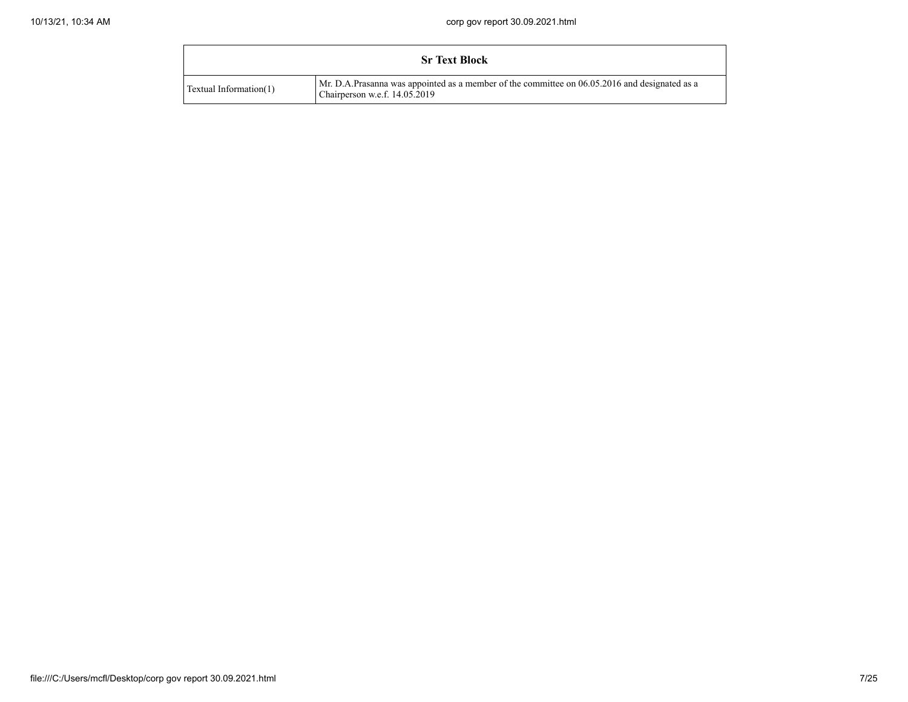|                           | <b>Sr Text Block</b>                                                                                                           |
|---------------------------|--------------------------------------------------------------------------------------------------------------------------------|
| Textual Information $(1)$ | Mr. D.A.Prasanna was appointed as a member of the committee on 06.05.2016 and designated as a<br>Chairperson w.e.f. 14.05.2019 |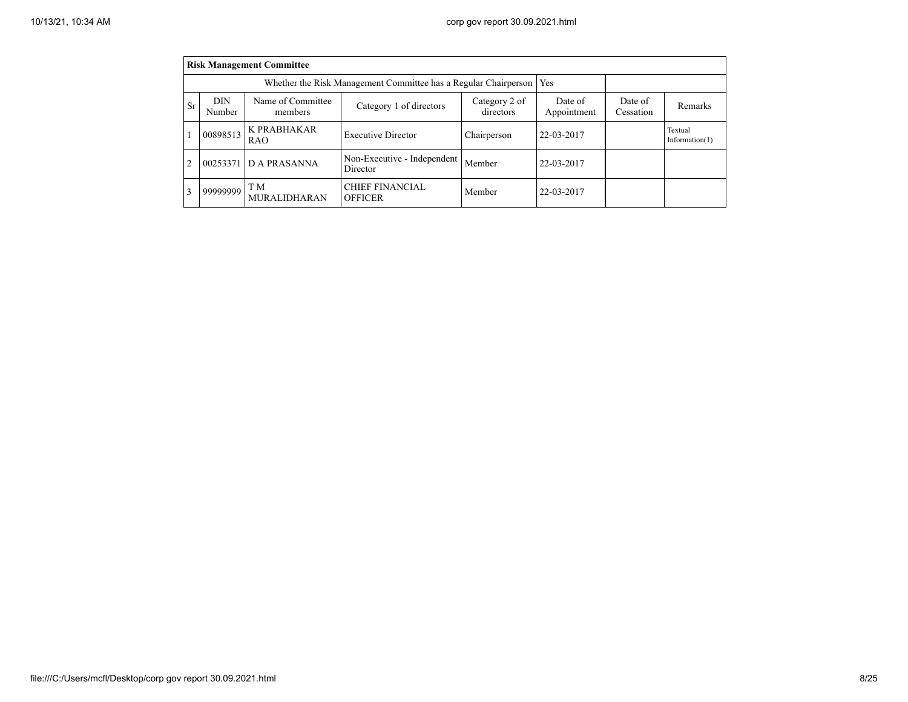|                | <b>Risk Management Committee</b> |                                                                 |                                          |                      |            |  |                              |  |  |  |  |
|----------------|----------------------------------|-----------------------------------------------------------------|------------------------------------------|----------------------|------------|--|------------------------------|--|--|--|--|
|                |                                  | Whether the Risk Management Committee has a Regular Chairperson | Yes                                      |                      |            |  |                              |  |  |  |  |
| <b>Sr</b>      | DIN<br>Number                    | Name of Committee<br>members                                    | Date of<br>Appointment                   | Date of<br>Cessation | Remarks    |  |                              |  |  |  |  |
|                | 00898513                         | K PRABHAKAR<br>RAO                                              | <b>Executive Director</b>                | Chairperson          | 22-03-2017 |  | Textual<br>Information $(1)$ |  |  |  |  |
| $\overline{2}$ | 00253371                         | <b>DA PRASANNA</b>                                              | Non-Executive - Independent<br>Director  | Member               | 22-03-2017 |  |                              |  |  |  |  |
| 3              | 99999999                         | T M<br><b>MURALIDHARAN</b>                                      | <b>CHIEF FINANCIAL</b><br><b>OFFICER</b> | Member               | 22-03-2017 |  |                              |  |  |  |  |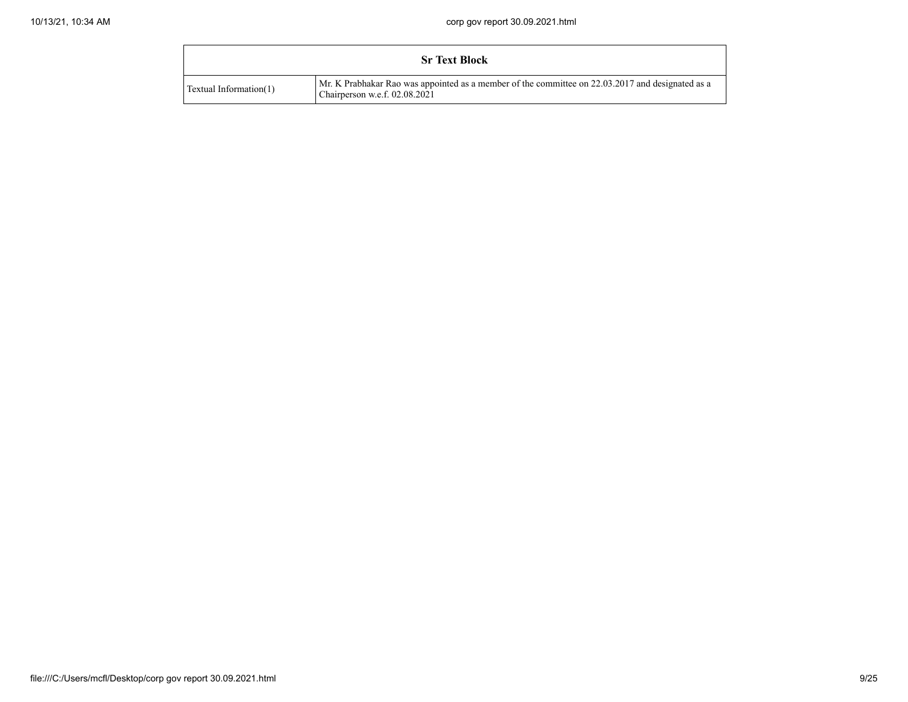|                        | <b>Sr Text Block</b>                                                                                                                |
|------------------------|-------------------------------------------------------------------------------------------------------------------------------------|
| Textual Information(1) | Mr. K Prabhakar Rao was appointed as a member of the committee on 22.03.2017 and designated as a<br>Chairperson w.e.f. $02.08.2021$ |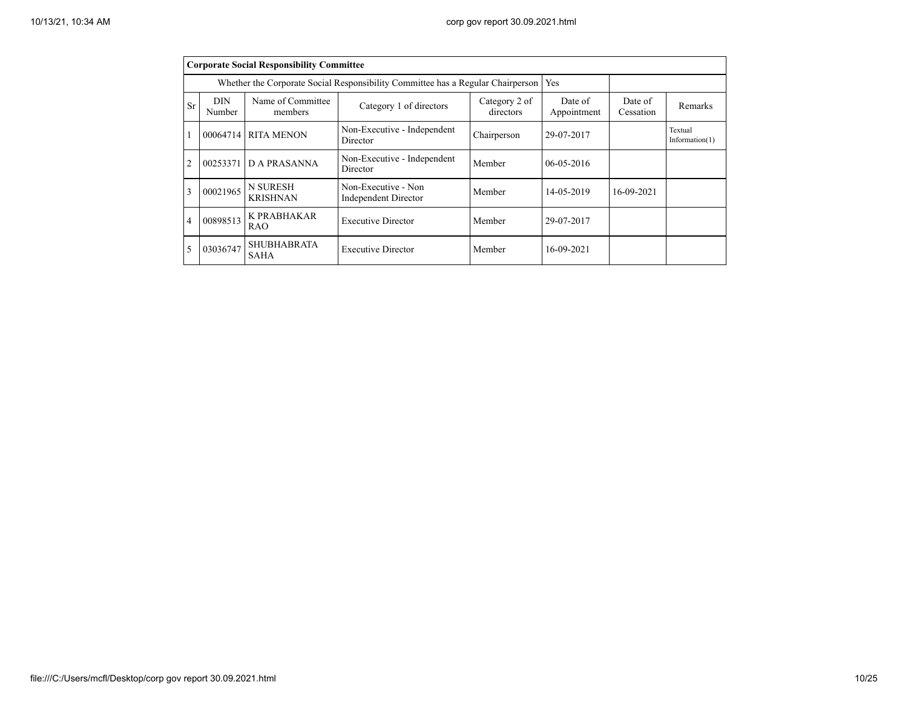|                | <b>Corporate Social Responsibility Committee</b>                                |                                    |                                                    |                      |                  |                              |  |  |  |  |  |  |
|----------------|---------------------------------------------------------------------------------|------------------------------------|----------------------------------------------------|----------------------|------------------|------------------------------|--|--|--|--|--|--|
|                | Whether the Corporate Social Responsibility Committee has a Regular Chairperson |                                    |                                                    |                      |                  |                              |  |  |  |  |  |  |
| <b>Sr</b>      | DIN<br>Number                                                                   | Name of Committee<br>members       | Date of<br>Appointment                             | Date of<br>Cessation | Remarks          |                              |  |  |  |  |  |  |
|                | Non-Executive - Independent<br><b>RITA MENON</b><br>00064714<br>Director        |                                    | Chairperson                                        | 29-07-2017           |                  | Textual<br>Information $(1)$ |  |  |  |  |  |  |
| $\overline{c}$ | 00253371                                                                        | <b>DA PRASANNA</b>                 | Non-Executive - Independent<br>Director            | Member               | $06 - 05 - 2016$ |                              |  |  |  |  |  |  |
| $\mathbf{3}$   | 00021965                                                                        | <b>N SURESH</b><br><b>KRISHNAN</b> | Non-Executive - Non<br><b>Independent Director</b> | Member               | 14-05-2019       | 16-09-2021                   |  |  |  |  |  |  |
| 4              | 00898513                                                                        | K PRABHAKAR<br>RAO                 | <b>Executive Director</b>                          | Member               | 29-07-2017       |                              |  |  |  |  |  |  |
|                | 03036747                                                                        | <b>SHUBHABRATA</b><br><b>SAHA</b>  | 16-09-2021                                         |                      |                  |                              |  |  |  |  |  |  |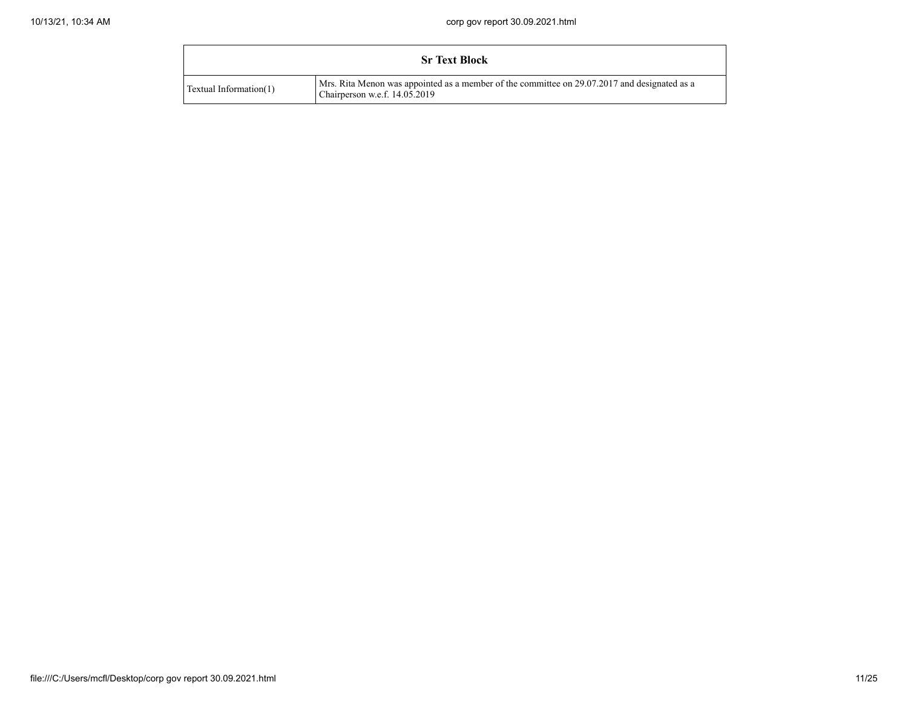|                        | <b>Sr Text Block</b>                                                                                                            |
|------------------------|---------------------------------------------------------------------------------------------------------------------------------|
| Textual Information(1) | Mrs. Rita Menon was appointed as a member of the committee on 29.07.2017 and designated as a<br>Chairperson w.e.f. $14.05.2019$ |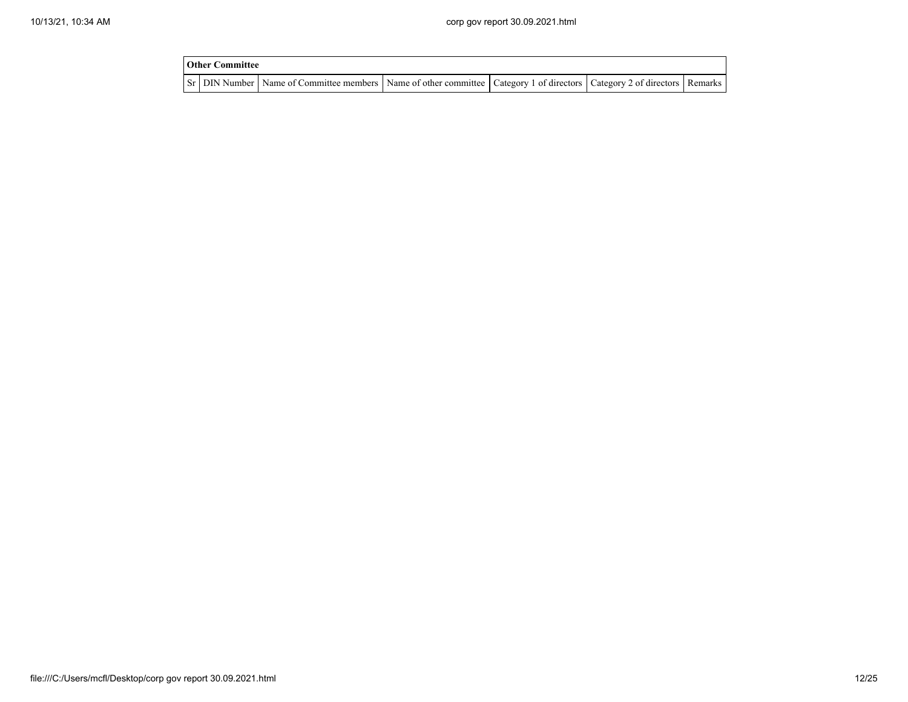| <b>Other Committee</b> |                                                                                                                                     |  |  |
|------------------------|-------------------------------------------------------------------------------------------------------------------------------------|--|--|
|                        | Sr   DIN Number   Name of Committee members   Name of other committee   Category 1 of directors   Category 2 of directors   Remarks |  |  |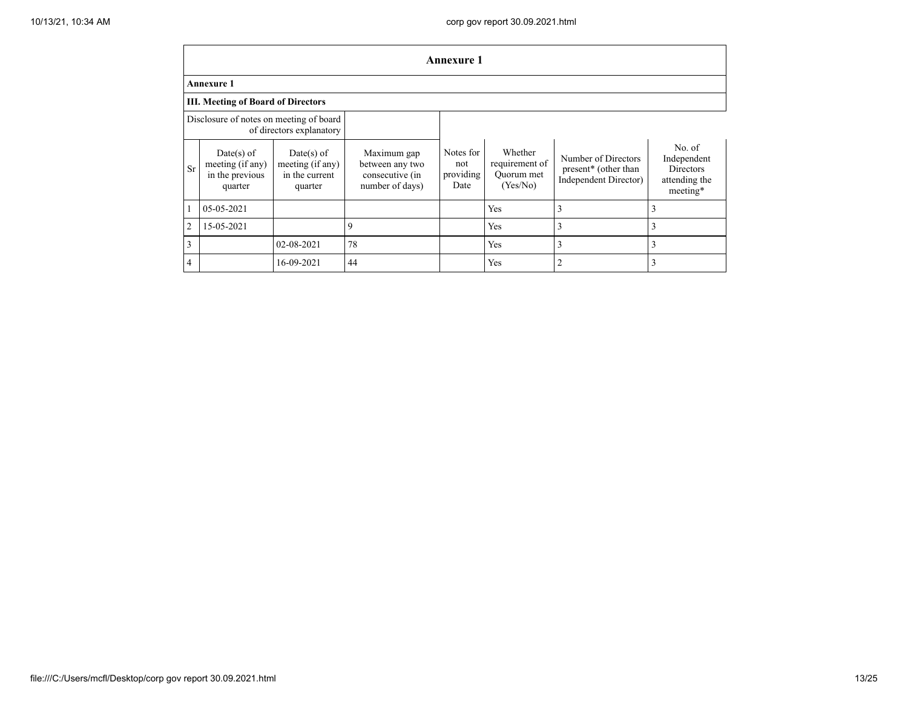|                | <b>Annexure 1</b>                                                   |                                                               |                                                                      |                                       |                                                     |                                                                                  |                                                                 |  |
|----------------|---------------------------------------------------------------------|---------------------------------------------------------------|----------------------------------------------------------------------|---------------------------------------|-----------------------------------------------------|----------------------------------------------------------------------------------|-----------------------------------------------------------------|--|
|                | <b>Annexure 1</b>                                                   |                                                               |                                                                      |                                       |                                                     |                                                                                  |                                                                 |  |
|                | <b>III. Meeting of Board of Directors</b>                           |                                                               |                                                                      |                                       |                                                     |                                                                                  |                                                                 |  |
|                | Disclosure of notes on meeting of board<br>of directors explanatory |                                                               |                                                                      |                                       |                                                     |                                                                                  |                                                                 |  |
| Sr             | $Date(s)$ of<br>meeting (if any)<br>in the previous<br>quarter      | $Date(s)$ of<br>meeting (if any)<br>in the current<br>quarter | Maximum gap<br>between any two<br>consecutive (in<br>number of days) | Notes for<br>not<br>providing<br>Date | Whether<br>requirement of<br>Quorum met<br>(Yes/No) | Number of Directors<br>present <sup>*</sup> (other than<br>Independent Director) | No. of<br>Independent<br>Directors<br>attending the<br>meeting* |  |
| 1              | 05-05-2021                                                          |                                                               |                                                                      |                                       | Yes                                                 | 3                                                                                | 3                                                               |  |
| $\overline{2}$ | 15-05-2021                                                          |                                                               | 9                                                                    |                                       | Yes                                                 | 3                                                                                | 3                                                               |  |
| 3              |                                                                     | 02-08-2021                                                    | 78                                                                   |                                       | Yes                                                 | 3                                                                                | 3                                                               |  |
| $\overline{4}$ |                                                                     | 16-09-2021                                                    | 44                                                                   |                                       | Yes                                                 | $\overline{2}$                                                                   | 3                                                               |  |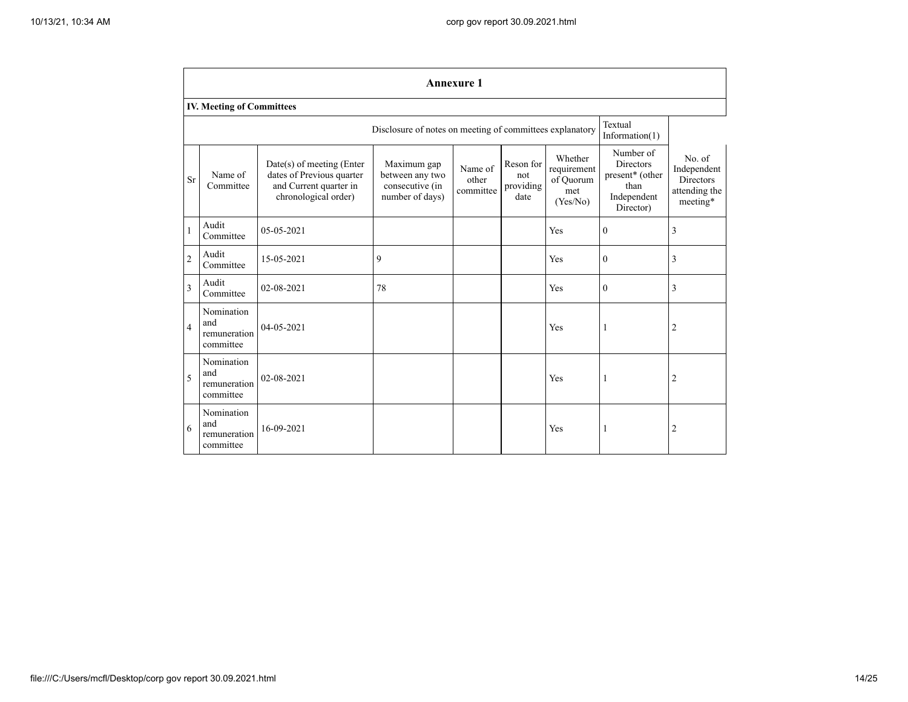|                | <b>Annexure 1</b>                                                                        |                                                                                                            |                                                                      |                               |                                       |                                                        |                                                                                                  |                                                                        |  |
|----------------|------------------------------------------------------------------------------------------|------------------------------------------------------------------------------------------------------------|----------------------------------------------------------------------|-------------------------------|---------------------------------------|--------------------------------------------------------|--------------------------------------------------------------------------------------------------|------------------------------------------------------------------------|--|
|                | <b>IV. Meeting of Committees</b>                                                         |                                                                                                            |                                                                      |                               |                                       |                                                        |                                                                                                  |                                                                        |  |
|                | Textual<br>Disclosure of notes on meeting of committees explanatory<br>Information $(1)$ |                                                                                                            |                                                                      |                               |                                       |                                                        |                                                                                                  |                                                                        |  |
| <b>Sr</b>      | Name of<br>Committee                                                                     | $Date(s)$ of meeting (Enter<br>dates of Previous quarter<br>and Current quarter in<br>chronological order) | Maximum gap<br>between any two<br>consecutive (in<br>number of days) | Name of<br>other<br>committee | Reson for<br>not<br>providing<br>date | Whether<br>requirement<br>of Ouorum<br>met<br>(Yes/No) | Number of<br><b>Directors</b><br>present <sup>*</sup> (other<br>than<br>Independent<br>Director) | No. of<br>Independent<br><b>Directors</b><br>attending the<br>meeting* |  |
| 1              | Audit<br>Committee                                                                       | 05-05-2021                                                                                                 |                                                                      |                               |                                       | Yes                                                    | $\Omega$                                                                                         | 3                                                                      |  |
| $\overline{2}$ | Audit<br>Committee                                                                       | 15-05-2021                                                                                                 | 9                                                                    |                               |                                       | Yes                                                    | $\mathbf{0}$                                                                                     | $\overline{3}$                                                         |  |
| 3              | Audit<br>Committee                                                                       | 02-08-2021                                                                                                 | 78                                                                   |                               |                                       | Yes                                                    | $\Omega$                                                                                         | 3                                                                      |  |
| $\overline{4}$ | Nomination<br>and<br>remuneration<br>committee                                           | 04-05-2021                                                                                                 |                                                                      |                               |                                       | Yes                                                    | -1                                                                                               | $\overline{2}$                                                         |  |
| 5              | Nomination<br>and<br>remuneration<br>committee                                           | 02-08-2021                                                                                                 |                                                                      |                               |                                       | Yes                                                    | 1                                                                                                | $\overline{2}$                                                         |  |
| 6              | Nomination<br>and<br>remuneration<br>committee                                           | 16-09-2021                                                                                                 |                                                                      |                               |                                       | Yes                                                    | -1                                                                                               | $\overline{2}$                                                         |  |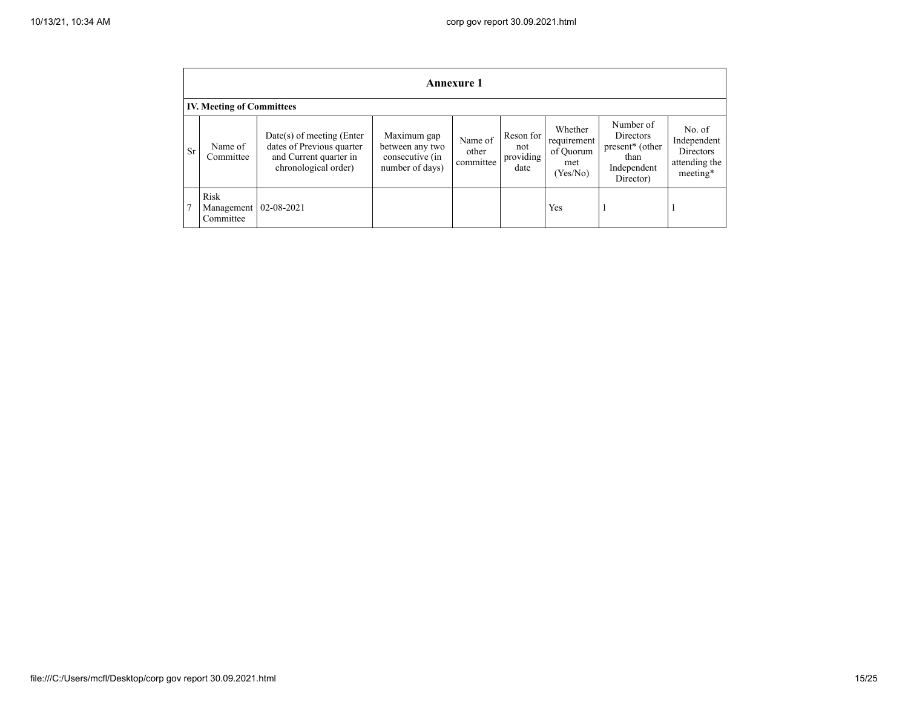|           | <b>Annexure 1</b>                |                                                                                                            |                                                                      |                               |                                         |                                                        |                                                                                                  |                                                                        |
|-----------|----------------------------------|------------------------------------------------------------------------------------------------------------|----------------------------------------------------------------------|-------------------------------|-----------------------------------------|--------------------------------------------------------|--------------------------------------------------------------------------------------------------|------------------------------------------------------------------------|
|           | <b>IV. Meeting of Committees</b> |                                                                                                            |                                                                      |                               |                                         |                                                        |                                                                                                  |                                                                        |
| <b>Sr</b> | Name of<br>Committee             | $Date(s)$ of meeting (Enter<br>dates of Previous quarter<br>and Current quarter in<br>chronological order) | Maximum gap<br>between any two<br>consecutive (in<br>number of days) | Name of<br>other<br>committee | Reson for<br>not<br>providing  <br>date | Whether<br>requirement<br>of Quorum<br>met<br>(Yes/No) | Number of<br><b>Directors</b><br>present <sup>*</sup> (other<br>than<br>Independent<br>Director) | No. of<br>Independent<br><b>Directors</b><br>attending the<br>meeting* |
|           | Risk<br>Management<br>Committee  | 02-08-2021                                                                                                 |                                                                      |                               |                                         | Yes                                                    |                                                                                                  |                                                                        |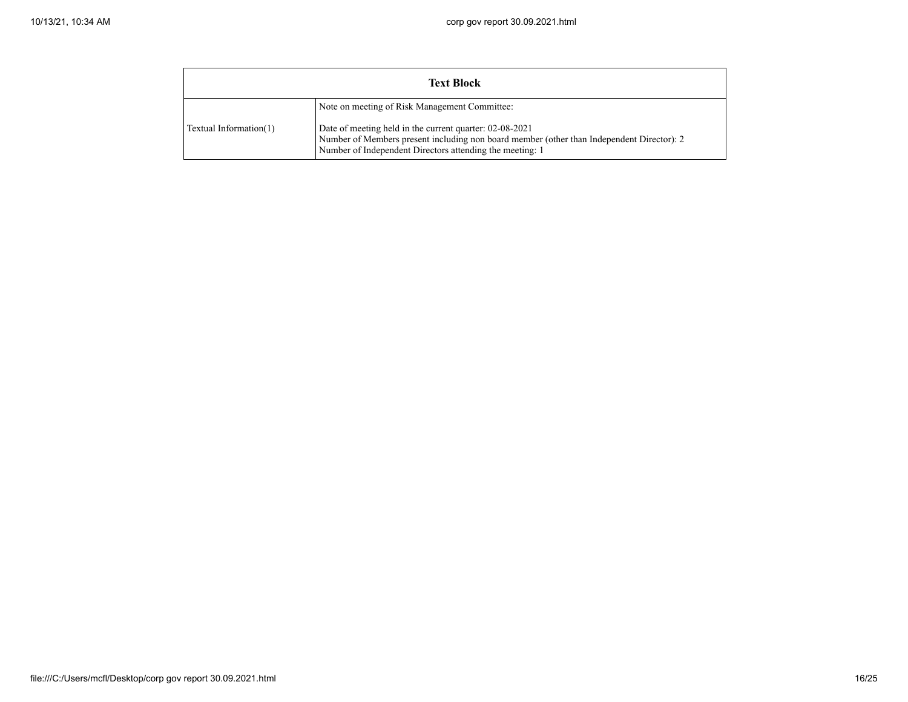| <b>Text Block</b>      |                                                                                                                                                                                                                                                                   |  |  |  |
|------------------------|-------------------------------------------------------------------------------------------------------------------------------------------------------------------------------------------------------------------------------------------------------------------|--|--|--|
| Textual Information(1) | Note on meeting of Risk Management Committee:<br>Date of meeting held in the current quarter: 02-08-2021<br>Number of Members present including non board member (other than Independent Director): 2<br>Number of Independent Directors attending the meeting: 1 |  |  |  |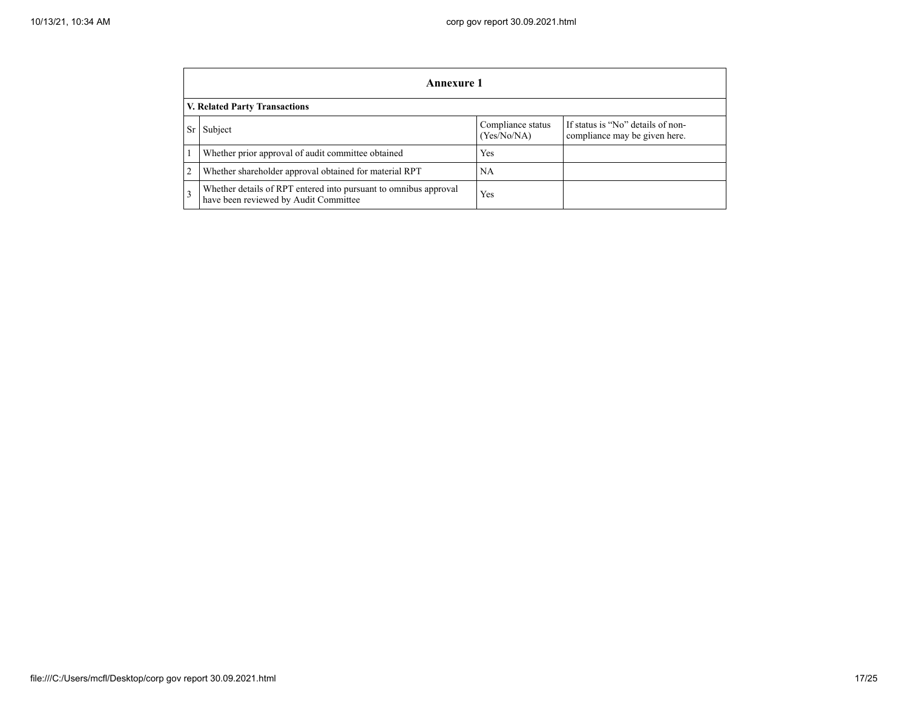|           | Annexure 1                                                                                                |                                  |                                                                    |  |  |  |
|-----------|-----------------------------------------------------------------------------------------------------------|----------------------------------|--------------------------------------------------------------------|--|--|--|
|           | V. Related Party Transactions                                                                             |                                  |                                                                    |  |  |  |
| <b>Sr</b> | Subject                                                                                                   | Compliance status<br>(Yes/No/NA) | If status is "No" details of non-<br>compliance may be given here. |  |  |  |
|           | Whether prior approval of audit committee obtained                                                        | Yes                              |                                                                    |  |  |  |
| 2         | Whether shareholder approval obtained for material RPT                                                    | NA                               |                                                                    |  |  |  |
|           | Whether details of RPT entered into pursuant to omnibus approval<br>have been reviewed by Audit Committee | Yes                              |                                                                    |  |  |  |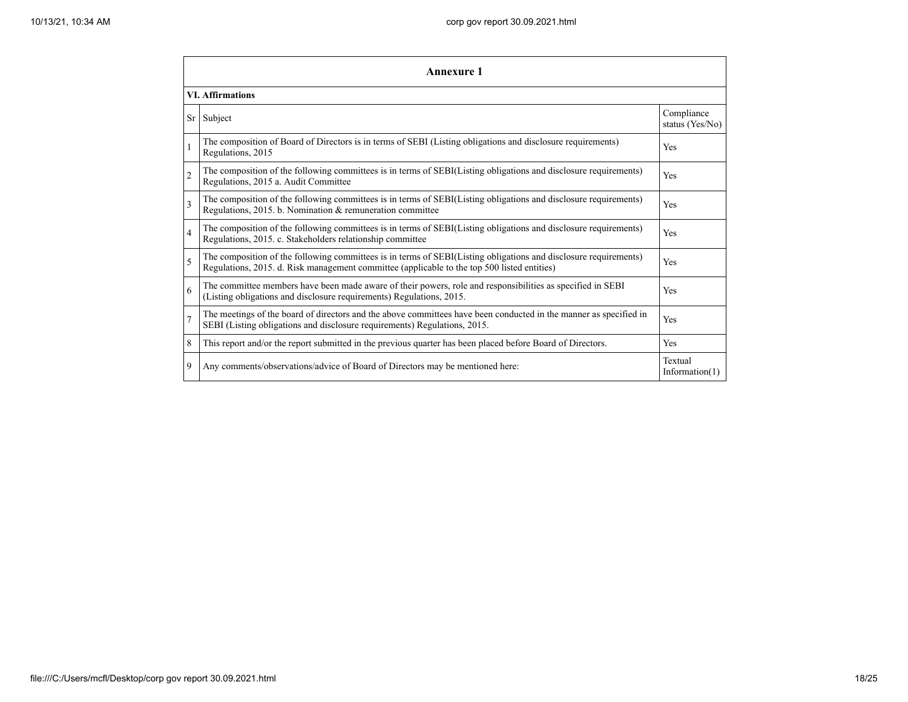|                | Annexure 1                                                                                                                                                                                                      |                               |  |  |  |  |
|----------------|-----------------------------------------------------------------------------------------------------------------------------------------------------------------------------------------------------------------|-------------------------------|--|--|--|--|
|                | <b>VI. Affirmations</b>                                                                                                                                                                                         |                               |  |  |  |  |
| <b>Sr</b>      | Subject                                                                                                                                                                                                         | Compliance<br>status (Yes/No) |  |  |  |  |
| 1              | The composition of Board of Directors is in terms of SEBI (Listing obligations and disclosure requirements)<br>Regulations, 2015                                                                                | Yes                           |  |  |  |  |
| $\overline{c}$ | The composition of the following committees is in terms of SEBI(Listing obligations and disclosure requirements)<br>Regulations, 2015 a. Audit Committee                                                        | Yes                           |  |  |  |  |
| 3              | The composition of the following committees is in terms of SEBI(Listing obligations and disclosure requirements)<br>Regulations, 2015. b. Nomination & remuneration committee                                   | Yes                           |  |  |  |  |
| $\overline{4}$ | The composition of the following committees is in terms of SEBI(Listing obligations and disclosure requirements)<br>Regulations, 2015. c. Stakeholders relationship committee                                   | Yes                           |  |  |  |  |
| 5              | The composition of the following committees is in terms of SEBI(Listing obligations and disclosure requirements)<br>Regulations, 2015. d. Risk management committee (applicable to the top 500 listed entities) | Yes                           |  |  |  |  |
| 6              | The committee members have been made aware of their powers, role and responsibilities as specified in SEBI<br>(Listing obligations and disclosure requirements) Regulations, 2015.                              | Yes                           |  |  |  |  |
| $\overline{7}$ | The meetings of the board of directors and the above committees have been conducted in the manner as specified in<br>SEBI (Listing obligations and disclosure requirements) Regulations, 2015.                  | Yes                           |  |  |  |  |
| 8              | This report and/or the report submitted in the previous quarter has been placed before Board of Directors.                                                                                                      | Yes                           |  |  |  |  |
| 9              | Any comments/observations/advice of Board of Directors may be mentioned here:                                                                                                                                   | Textual<br>Information $(1)$  |  |  |  |  |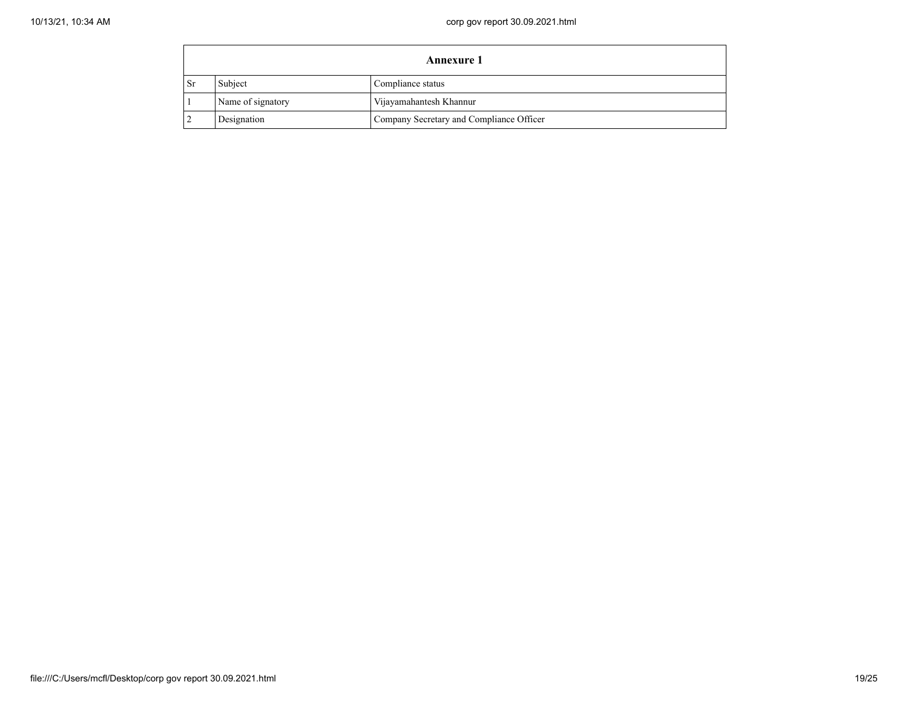$\blacksquare$ 

|      | <b>Annexure 1</b> |                                          |  |  |  |
|------|-------------------|------------------------------------------|--|--|--|
| ∣ Sr | Subject           | Compliance status                        |  |  |  |
|      | Name of signatory | Vijayamahantesh Khannur                  |  |  |  |
|      | Designation       | Company Secretary and Compliance Officer |  |  |  |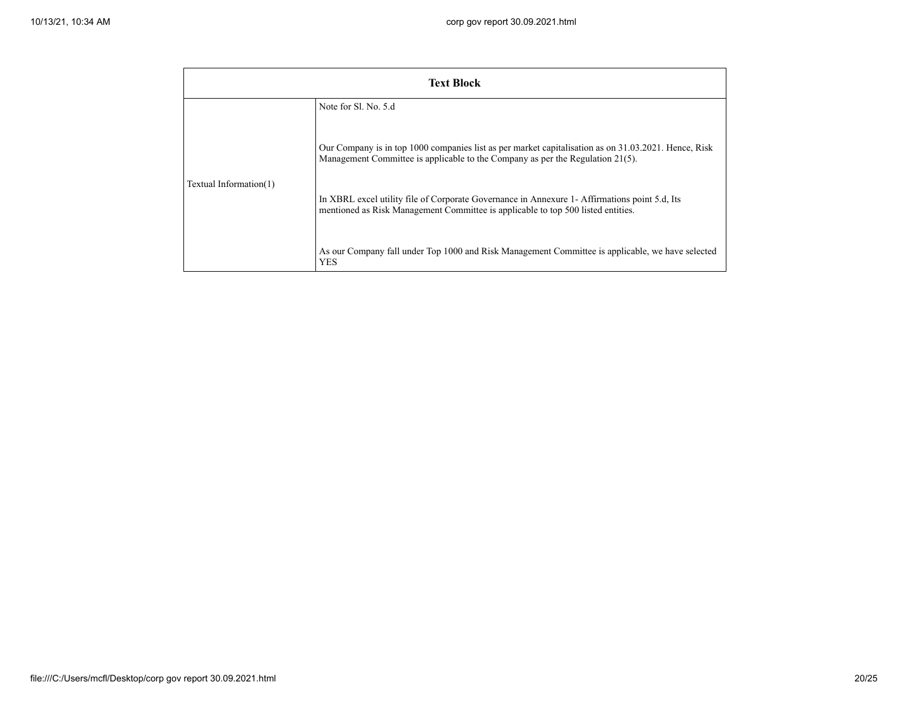|                        | <b>Text Block</b>                                                                                                                                                                      |
|------------------------|----------------------------------------------------------------------------------------------------------------------------------------------------------------------------------------|
|                        | Note for Sl. No. 5.d                                                                                                                                                                   |
| Textual Information(1) | Our Company is in top 1000 companies list as per market capitalisation as on 31.03.2021. Hence, Risk<br>Management Committee is applicable to the Company as per the Regulation 21(5). |
|                        | In XBRL excel utility file of Corporate Governance in Annexure 1- Affirmations point 5.d, Its<br>mentioned as Risk Management Committee is applicable to top 500 listed entities.      |
|                        | As our Company fall under Top 1000 and Risk Management Committee is applicable, we have selected<br><b>YES</b>                                                                         |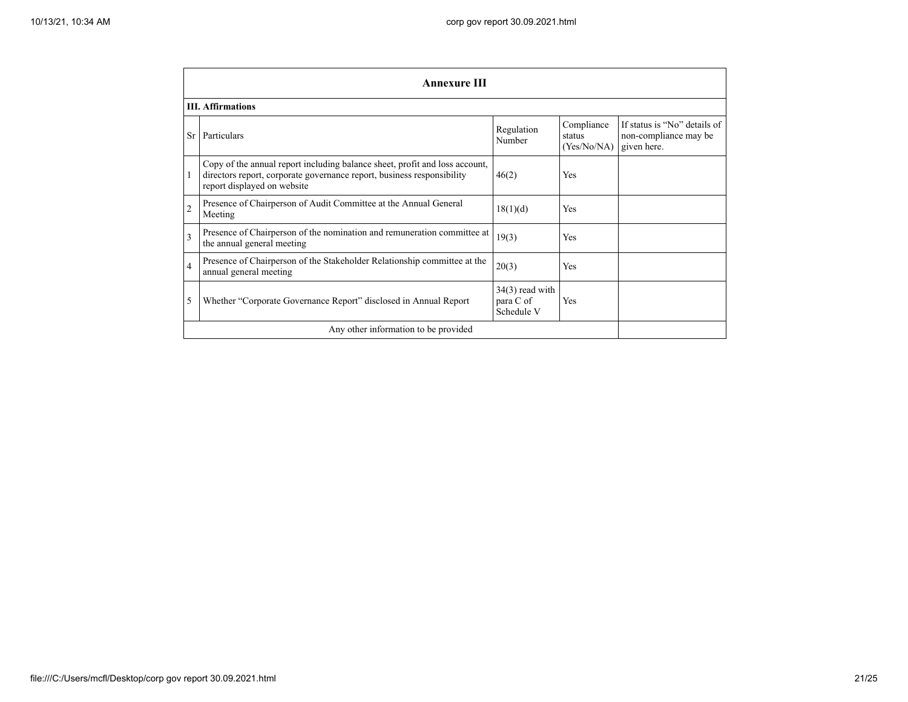|                | <b>Annexure III</b>                                                                                                                                                                  |                                              |                                     |                                                                      |  |  |
|----------------|--------------------------------------------------------------------------------------------------------------------------------------------------------------------------------------|----------------------------------------------|-------------------------------------|----------------------------------------------------------------------|--|--|
|                | <b>III.</b> Affirmations                                                                                                                                                             |                                              |                                     |                                                                      |  |  |
| <b>Sr</b>      | Particulars                                                                                                                                                                          | Regulation<br>Number                         | Compliance<br>status<br>(Yes/No/NA) | If status is "No" details of<br>non-compliance may be<br>given here. |  |  |
|                | Copy of the annual report including balance sheet, profit and loss account,<br>directors report, corporate governance report, business responsibility<br>report displayed on website | 46(2)                                        | Yes                                 |                                                                      |  |  |
| $\overline{2}$ | Presence of Chairperson of Audit Committee at the Annual General<br>Meeting                                                                                                          | 18(1)(d)                                     | Yes                                 |                                                                      |  |  |
| $\mathbf{3}$   | Presence of Chairperson of the nomination and remuneration committee at<br>the annual general meeting                                                                                | 19(3)                                        | Yes                                 |                                                                      |  |  |
| $\overline{4}$ | Presence of Chairperson of the Stakeholder Relationship committee at the<br>annual general meeting                                                                                   | 20(3)                                        | Yes                                 |                                                                      |  |  |
| 5              | Whether "Corporate Governance Report" disclosed in Annual Report                                                                                                                     | $34(3)$ read with<br>para C of<br>Schedule V | <b>Yes</b>                          |                                                                      |  |  |
|                | Any other information to be provided                                                                                                                                                 |                                              |                                     |                                                                      |  |  |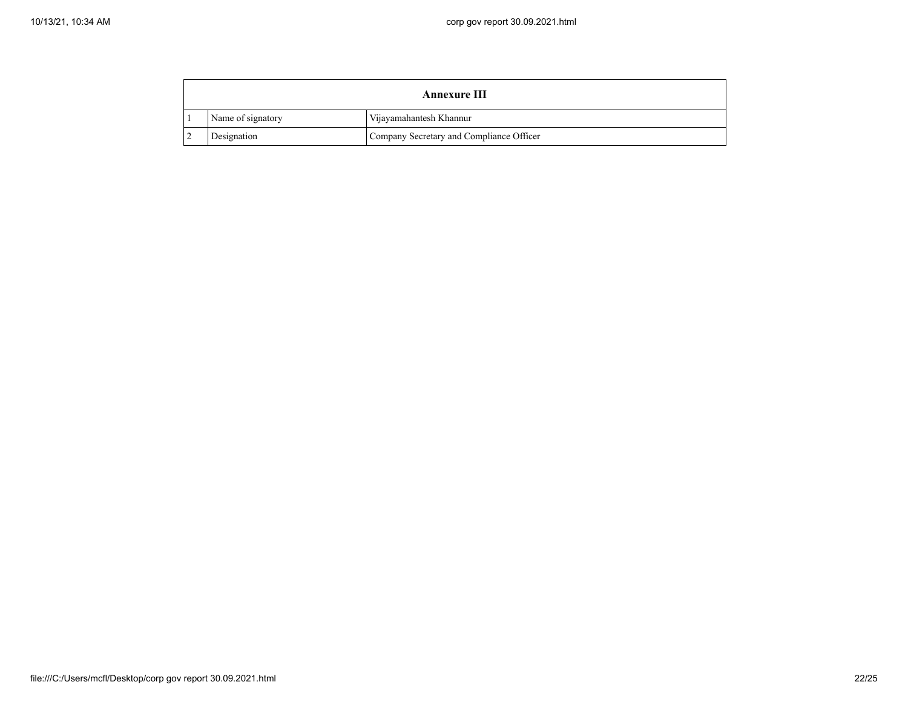$\mathbf{r}$ 

| Annexure III      |                                          |  |  |
|-------------------|------------------------------------------|--|--|
| Name of signatory | Vijayamahantesh Khannur                  |  |  |
| Designation       | Company Secretary and Compliance Officer |  |  |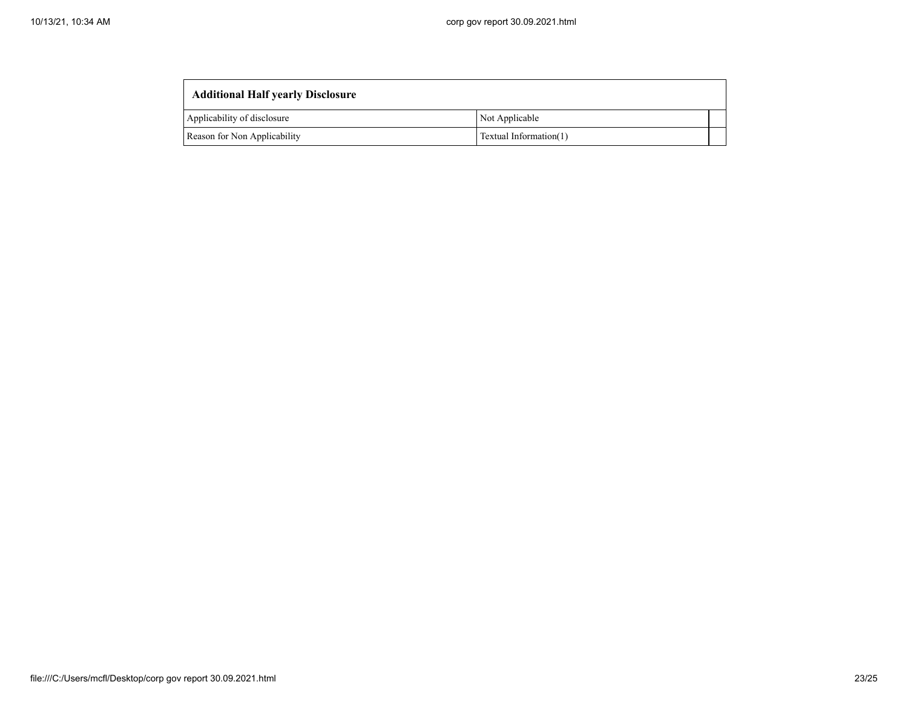| <b>Additional Half yearly Disclosure</b>               |                |  |  |  |  |  |
|--------------------------------------------------------|----------------|--|--|--|--|--|
| Applicability of disclosure                            | Not Applicable |  |  |  |  |  |
| Reason for Non Applicability<br>Textual Information(1) |                |  |  |  |  |  |